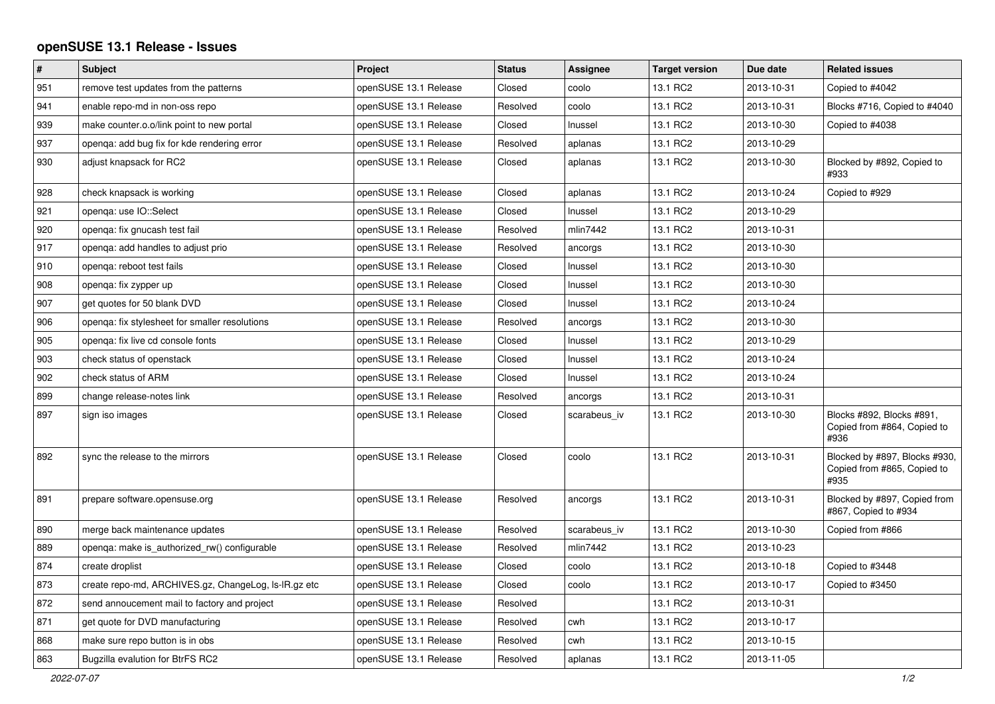## **openSUSE 13.1 Release - Issues**

| $\#$ | <b>Subject</b>                                       | Project               | <b>Status</b> | Assignee     | <b>Target version</b> | Due date   | <b>Related issues</b>                                                |
|------|------------------------------------------------------|-----------------------|---------------|--------------|-----------------------|------------|----------------------------------------------------------------------|
| 951  | remove test updates from the patterns                | openSUSE 13.1 Release | Closed        | coolo        | 13.1 RC2              | 2013-10-31 | Copied to #4042                                                      |
| 941  | enable repo-md in non-oss repo                       | openSUSE 13.1 Release | Resolved      | coolo        | 13.1 RC2              | 2013-10-31 | Blocks #716, Copied to #4040                                         |
| 939  | make counter.o.o/link point to new portal            | openSUSE 13.1 Release | Closed        | Inussel      | 13.1 RC2              | 2013-10-30 | Copied to #4038                                                      |
| 937  | openga: add bug fix for kde rendering error          | openSUSE 13.1 Release | Resolved      | aplanas      | 13.1 RC2              | 2013-10-29 |                                                                      |
| 930  | adjust knapsack for RC2                              | openSUSE 13.1 Release | Closed        | aplanas      | 13.1 RC2              | 2013-10-30 | Blocked by #892, Copied to<br>#933                                   |
| 928  | check knapsack is working                            | openSUSE 13.1 Release | Closed        | aplanas      | 13.1 RC2              | 2013-10-24 | Copied to #929                                                       |
| 921  | openga: use IO::Select                               | openSUSE 13.1 Release | Closed        | Inussel      | 13.1 RC2              | 2013-10-29 |                                                                      |
| 920  | openqa: fix gnucash test fail                        | openSUSE 13.1 Release | Resolved      | mlin7442     | 13.1 RC2              | 2013-10-31 |                                                                      |
| 917  | openga: add handles to adjust prio                   | openSUSE 13.1 Release | Resolved      | ancorgs      | 13.1 RC2              | 2013-10-30 |                                                                      |
| 910  | openga: reboot test fails                            | openSUSE 13.1 Release | Closed        | Inussel      | 13.1 RC2              | 2013-10-30 |                                                                      |
| 908  | openqa: fix zypper up                                | openSUSE 13.1 Release | Closed        | Inussel      | 13.1 RC2              | 2013-10-30 |                                                                      |
| 907  | get quotes for 50 blank DVD                          | openSUSE 13.1 Release | Closed        | Inussel      | 13.1 RC2              | 2013-10-24 |                                                                      |
| 906  | openqa: fix stylesheet for smaller resolutions       | openSUSE 13.1 Release | Resolved      | ancorgs      | 13.1 RC2              | 2013-10-30 |                                                                      |
| 905  | openga: fix live cd console fonts                    | openSUSE 13.1 Release | Closed        | Inussel      | 13.1 RC2              | 2013-10-29 |                                                                      |
| 903  | check status of openstack                            | openSUSE 13.1 Release | Closed        | Inussel      | 13.1 RC2              | 2013-10-24 |                                                                      |
| 902  | check status of ARM                                  | openSUSE 13.1 Release | Closed        | Inussel      | 13.1 RC2              | 2013-10-24 |                                                                      |
| 899  | change release-notes link                            | openSUSE 13.1 Release | Resolved      | ancorgs      | 13.1 RC2              | 2013-10-31 |                                                                      |
| 897  | sign iso images                                      | openSUSE 13.1 Release | Closed        | scarabeus iv | 13.1 RC2              | 2013-10-30 | Blocks #892, Blocks #891,<br>Copied from #864, Copied to<br>#936     |
| 892  | sync the release to the mirrors                      | openSUSE 13.1 Release | Closed        | coolo        | 13.1 RC2              | 2013-10-31 | Blocked by #897, Blocks #930,<br>Copied from #865, Copied to<br>#935 |
| 891  | prepare software.opensuse.org                        | openSUSE 13.1 Release | Resolved      | ancorgs      | 13.1 RC2              | 2013-10-31 | Blocked by #897, Copied from<br>#867, Copied to #934                 |
| 890  | merge back maintenance updates                       | openSUSE 13.1 Release | Resolved      | scarabeus iv | 13.1 RC2              | 2013-10-30 | Copied from #866                                                     |
| 889  | openga: make is authorized rw() configurable         | openSUSE 13.1 Release | Resolved      | mlin7442     | 13.1 RC2              | 2013-10-23 |                                                                      |
| 874  | create droplist                                      | openSUSE 13.1 Release | Closed        | coolo        | 13.1 RC2              | 2013-10-18 | Copied to #3448                                                      |
| 873  | create repo-md, ARCHIVES.gz, ChangeLog, Is-IR.gz etc | openSUSE 13.1 Release | Closed        | coolo        | 13.1 RC2              | 2013-10-17 | Copied to #3450                                                      |
| 872  | send annoucement mail to factory and project         | openSUSE 13.1 Release | Resolved      |              | 13.1 RC2              | 2013-10-31 |                                                                      |
| 871  | get quote for DVD manufacturing                      | openSUSE 13.1 Release | Resolved      | cwh          | 13.1 RC2              | 2013-10-17 |                                                                      |
| 868  | make sure repo button is in obs                      | openSUSE 13.1 Release | Resolved      | cwh          | 13.1 RC2              | 2013-10-15 |                                                                      |
| 863  | Bugzilla evalution for BtrFS RC2                     | openSUSE 13.1 Release | Resolved      | aplanas      | 13.1 RC2              | 2013-11-05 |                                                                      |